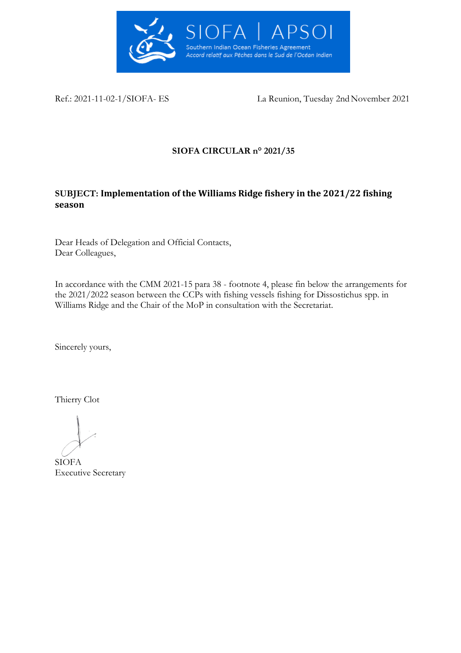

Ref.: 2021-11-02-1/SIOFA- ES La Reunion, Tuesday 2nd November 2021

# **SIOFA CIRCULAR n° 2021/35**

# **SUBJECT: Implementation of the Williams Ridge fishery in the 2021/22 fishing season**

Dear Heads of Delegation and Official Contacts, Dear Colleagues,

In accordance with the CMM 2021-15 para 38 - footnote 4, please fin below the arrangements for the 2021/2022 season between the CCPs with fishing vessels fishing for Dissostichus spp. in Williams Ridge and the Chair of the MoP in consultation with the Secretariat.

Sincerely yours,

Thierry Clot

SIOFA Executive Secretary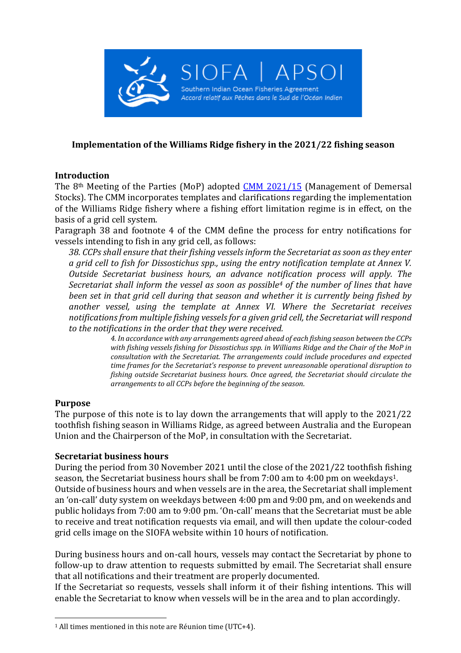

## **Implementation of the Williams Ridge fishery in the 2021/22 fishing season**

### **Introduction**

The 8th Meeting of the Parties (MoP) adopted [CMM 2021/15](https://www.apsoi.org/sites/default/files/documents/cmm/CMM%202021_15%20Management%20of%20Demersal%20Stocks.pdf) (Management of Demersal Stocks). The CMM incorporates templates and clarifications regarding the implementation of the Williams Ridge fishery where a fishing effort limitation regime is in effect, on the basis of a grid cell system.

Paragraph 38 and footnote 4 of the CMM define the process for entry notifications for vessels intending to fish in any grid cell, as follows:

*38. CCPs shall ensure that their fishing vessels inform the Secretariat as soon as they enter a grid cell to fish for Dissostichus spp., using the entry notification template at Annex V. Outside Secretariat business hours, an advance notification process will apply. The Secretariat shall inform the vessel as soon as possible<sup>4</sup> of the number of lines that have been set in that grid cell during that season and whether it is currently being fished by another vessel, using the template at Annex VI. Where the Secretariat receives notifications from multiple fishing vessels for a given grid cell, the Secretariat will respond to the notifications in the order that they were received.*

*4. In accordance with any arrangements agreed ahead of each fishing season between the CCPs with fishing vessels fishing for Dissostichus spp. in Williams Ridge and the Chair of the MoP in consultation with the Secretariat. The arrangements could include procedures and expected time frames for the Secretariat's response to prevent unreasonable operational disruption to fishing outside Secretariat business hours. Once agreed, the Secretariat should circulate the arrangements to all CCPs before the beginning of the season.*

#### **Purpose**

The purpose of this note is to lay down the arrangements that will apply to the 2021/22 toothfish fishing season in Williams Ridge, as agreed between Australia and the European Union and the Chairperson of the MoP, in consultation with the Secretariat.

#### **Secretariat business hours**

During the period from 30 November 2021 until the close of the 2021/22 toothfish fishing season, the Secretariat business hours shall be from 7:00 am to 4:00 pm on weekdays1. Outside of business hours and when vessels are in the area, the Secretariat shall implement an 'on-call' duty system on weekdays between 4:00 pm and 9:00 pm, and on weekends and public holidays from 7:00 am to 9:00 pm. 'On-call' means that the Secretariat must be able to receive and treat notification requests via email, and will then update the colour-coded grid cells image on the SIOFA website within 10 hours of notification.

During business hours and on-call hours, vessels may contact the Secretariat by phone to follow-up to draw attention to requests submitted by email. The Secretariat shall ensure that all notifications and their treatment are properly documented.

If the Secretariat so requests, vessels shall inform it of their fishing intentions. This will enable the Secretariat to know when vessels will be in the area and to plan accordingly.

<sup>1</sup> All times mentioned in this note are Réunion time (UTC+4).